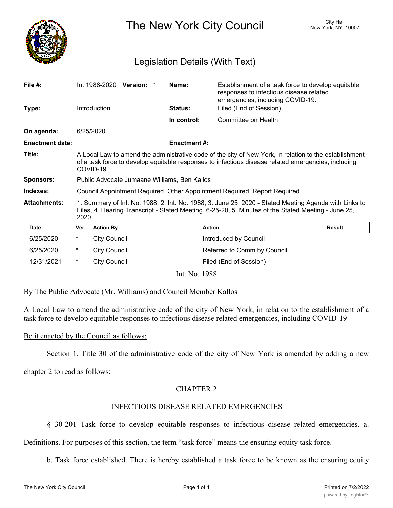

The New York City Council New York, NY 10007

# Legislation Details (With Text)

| File $#$ :             |                                                                                                                                                                                                                           | Int 1988-2020 Version: * |  |  | Name:               | Establishment of a task force to develop equitable<br>responses to infectious disease related<br>emergencies, including COVID-19. |               |
|------------------------|---------------------------------------------------------------------------------------------------------------------------------------------------------------------------------------------------------------------------|--------------------------|--|--|---------------------|-----------------------------------------------------------------------------------------------------------------------------------|---------------|
| Type:                  |                                                                                                                                                                                                                           | Introduction             |  |  | <b>Status:</b>      | Filed (End of Session)                                                                                                            |               |
|                        |                                                                                                                                                                                                                           |                          |  |  | In control:         | Committee on Health                                                                                                               |               |
| On agenda:             |                                                                                                                                                                                                                           | 6/25/2020                |  |  |                     |                                                                                                                                   |               |
| <b>Enactment date:</b> |                                                                                                                                                                                                                           |                          |  |  | <b>Enactment #:</b> |                                                                                                                                   |               |
| Title:                 | A Local Law to amend the administrative code of the city of New York, in relation to the establishment<br>of a task force to develop equitable responses to infectious disease related emergencies, including<br>COVID-19 |                          |  |  |                     |                                                                                                                                   |               |
| <b>Sponsors:</b>       | Public Advocate Jumaane Williams, Ben Kallos                                                                                                                                                                              |                          |  |  |                     |                                                                                                                                   |               |
| Indexes:               | Council Appointment Required, Other Appointment Required, Report Required                                                                                                                                                 |                          |  |  |                     |                                                                                                                                   |               |
| <b>Attachments:</b>    | 1. Summary of Int. No. 1988, 2. Int. No. 1988, 3. June 25, 2020 - Stated Meeting Agenda with Links to<br>Files, 4. Hearing Transcript - Stated Meeting 6-25-20, 5. Minutes of the Stated Meeting - June 25,<br>2020       |                          |  |  |                     |                                                                                                                                   |               |
| Date                   | Ver.                                                                                                                                                                                                                      | <b>Action By</b>         |  |  |                     | <b>Action</b>                                                                                                                     | <b>Result</b> |
| 6/25/2020              | $^\star$                                                                                                                                                                                                                  | <b>City Council</b>      |  |  |                     | Introduced by Council                                                                                                             |               |
| 6/25/2020              | $^\star$                                                                                                                                                                                                                  | <b>City Council</b>      |  |  |                     | Referred to Comm by Council                                                                                                       |               |
| 12/31/2021             | $^\star$                                                                                                                                                                                                                  | <b>City Council</b>      |  |  |                     | Filed (End of Session)                                                                                                            |               |
|                        |                                                                                                                                                                                                                           |                          |  |  | Int. No. 1988       |                                                                                                                                   |               |

By The Public Advocate (Mr. Williams) and Council Member Kallos

A Local Law to amend the administrative code of the city of New York, in relation to the establishment of a task force to develop equitable responses to infectious disease related emergencies, including COVID-19

Be it enacted by the Council as follows:

Section 1. Title 30 of the administrative code of the city of New York is amended by adding a new

chapter 2 to read as follows:

## CHAPTER 2

## INFECTIOUS DISEASE RELATED EMERGENCIES

§ 30-201 Task force to develop equitable responses to infectious disease related emergencies. a.

Definitions. For purposes of this section, the term "task force" means the ensuring equity task force.

b. Task force established. There is hereby established a task force to be known as the ensuring equity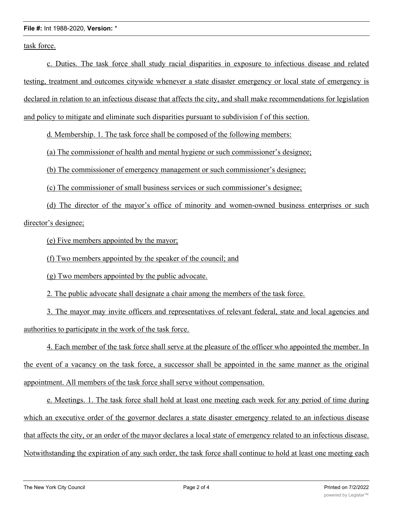#### **File #:** Int 1988-2020, **Version:** \*

task force.

c. Duties. The task force shall study racial disparities in exposure to infectious disease and related testing, treatment and outcomes citywide whenever a state disaster emergency or local state of emergency is declared in relation to an infectious disease that affects the city, and shall make recommendations for legislation and policy to mitigate and eliminate such disparities pursuant to subdivision f of this section.

d. Membership. 1. The task force shall be composed of the following members:

(a) The commissioner of health and mental hygiene or such commissioner's designee;

(b) The commissioner of emergency management or such commissioner's designee;

(c) The commissioner of small business services or such commissioner's designee;

(d) The director of the mayor's office of minority and women-owned business enterprises or such director's designee;

(e) Five members appointed by the mayor;

(f) Two members appointed by the speaker of the council; and

(g) Two members appointed by the public advocate.

2. The public advocate shall designate a chair among the members of the task force.

3. The mayor may invite officers and representatives of relevant federal, state and local agencies and authorities to participate in the work of the task force.

4. Each member of the task force shall serve at the pleasure of the officer who appointed the member. In the event of a vacancy on the task force, a successor shall be appointed in the same manner as the original appointment. All members of the task force shall serve without compensation.

e. Meetings. 1. The task force shall hold at least one meeting each week for any period of time during which an executive order of the governor declares a state disaster emergency related to an infectious disease that affects the city, or an order of the mayor declares a local state of emergency related to an infectious disease. Notwithstanding the expiration of any such order, the task force shall continue to hold at least one meeting each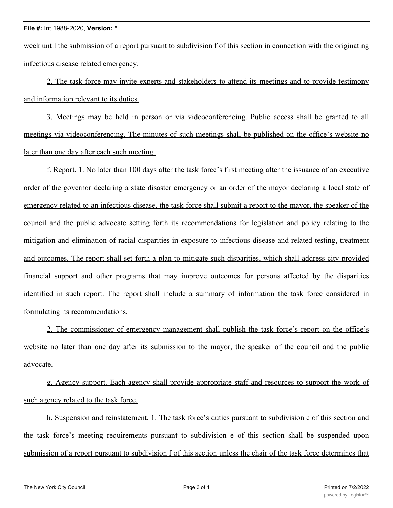week until the submission of a report pursuant to subdivision f of this section in connection with the originating infectious disease related emergency.

2. The task force may invite experts and stakeholders to attend its meetings and to provide testimony and information relevant to its duties.

3. Meetings may be held in person or via videoconferencing. Public access shall be granted to all meetings via videoconferencing. The minutes of such meetings shall be published on the office's website no later than one day after each such meeting.

f. Report. 1. No later than 100 days after the task force's first meeting after the issuance of an executive order of the governor declaring a state disaster emergency or an order of the mayor declaring a local state of emergency related to an infectious disease, the task force shall submit a report to the mayor, the speaker of the council and the public advocate setting forth its recommendations for legislation and policy relating to the mitigation and elimination of racial disparities in exposure to infectious disease and related testing, treatment and outcomes. The report shall set forth a plan to mitigate such disparities, which shall address city-provided financial support and other programs that may improve outcomes for persons affected by the disparities identified in such report. The report shall include a summary of information the task force considered in formulating its recommendations.

2. The commissioner of emergency management shall publish the task force's report on the office's website no later than one day after its submission to the mayor, the speaker of the council and the public advocate.

g. Agency support. Each agency shall provide appropriate staff and resources to support the work of such agency related to the task force.

h. Suspension and reinstatement. 1. The task force's duties pursuant to subdivision c of this section and the task force's meeting requirements pursuant to subdivision e of this section shall be suspended upon submission of a report pursuant to subdivision f of this section unless the chair of the task force determines that